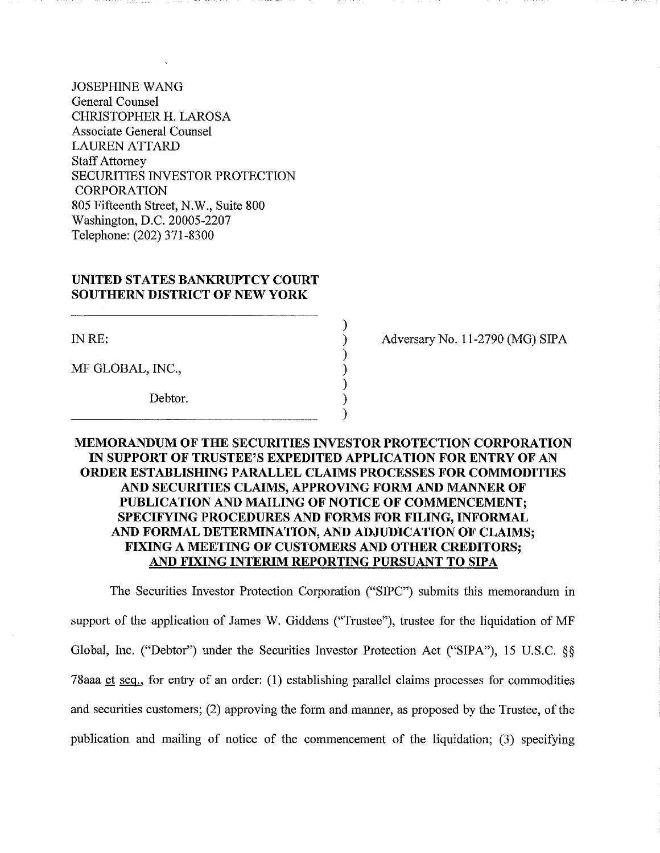JOSEPHINE WANG General Counsel CHRISTOPHER H. LAROSA Associate General Counsel LAUREN ATTARD **Staff Attorney** SECURITIES INVESTOR PROTECTION **CORPORATION** 805 Fifteenth Street, N.W., Suite 800 Washington, D.C. 20005-2207 Telephone: (202) 371-8300

### **UNITED STATES BANKRUPTCY COURT SOUTHERN DISTRICT OF NEW YORK**

INRE:

MF GLOBAL, INC.,

Debtor.

Adversary No. 11-2790 (MG) SIPA

# **MEMORANDUM OF THE SECURITIES INVESTOR PROTECTION CORPORATION IN SUPPORT OF TRUSTEE'S EXPEDITED APPLICATION FOR ENTRY OF AN ORDER ESTABLISHING PARALLEL CLAIMS PROCESSES FOR COMMODITIES AND SECURITIES CLAIMS, APPROVING FORM AND MANNER OF PUBLICATION AND MAILING OF NOTICE OF COMMENCEMENT; SPECIFYING PROCEDURES AND FORMS FOR FILING, INFORMAL AND FORMAL DETERMINATION, AND ADJUDICATION OF CLAIMS; FIXING A MEETING OF CUSTOMERS AND OTHER CREDITORS; AND FIXING INTERIM REPORTING PURSUANT TO SIPA**

) ) ) ) ) ) )

The Securities Investor Protection Corporation ("SIPC") submits this memorandum in support of the application of James W. Giddens ("Trustee"), trustee for the liquidation of MF Global, Inc. ("Debtor") under the Securities Investor Protection Act ("SIPA"), 15 U.S.C. §§ 78aaa et seq., for entry of an order:  $(1)$  establishing parallel claims processes for commodities and securities customers; (2) approving the form and manner, as proposed by the Trustee, of the publication and mailing of notice of the commencement of the liquidation; (3) specifying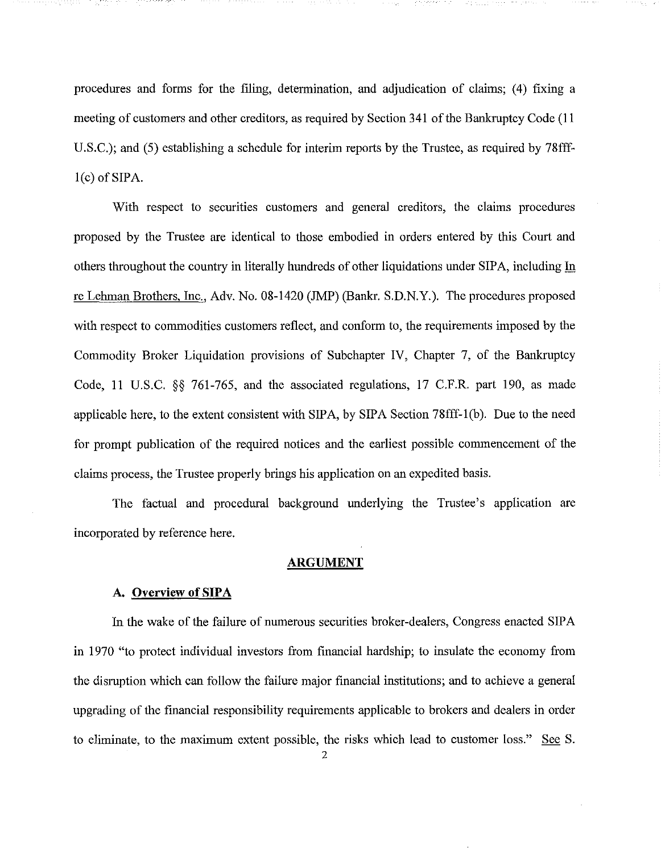procedures and forms for the filing, determination, and adjudication of claims; (4) fixing a meeting of customers and other creditors, as required by Section 341 of the Bankruptcy Code (11) U.S.C.); and (5) establishing a schedule for interim reports by the Trustee, as required by 78fff- $1(c)$  of SIPA.

With respect to securities customers and general creditors, the claims procedures proposed by the Trustee are identical to those embodied in orders entered by this Court and others throughout the country in literally hundreds of other liquidations under SIPA, including In re Lehman Brothers, Inc., Adv. No. 08-1420 (JMP) (Bankr. S.D.N.Y.). The procedures proposed with respect to commodities customers reflect, and conform to, the requirements imposed by the Commodity Broker Liquidation provisions of Subchapter IV, Chapter 7, of the Bankruptcy Code, 11 U.S.C. §§ 761-765, and the associated regulations, 17 C.F.R. part 190, as made applicable here, to the extent consistent with SIPA, by SIPA Section 78fff-I(b). Due to the need for prompt publication of the required notices and the earliest possible commencement of the claims process, the Trustee properly brings his application on an expedited basis.

The factual and procedural background underlying the Trustee's application are incorporated by reference here.

#### **ARGUMENT**

#### **A. Overview of SIPA**

In the wake of the failure of numerous securities broker-dealers, Congress enacted SIPA in 1970 "to protect individual investors from financial hardship; to insulate the economy from the disruption which can follow the failure major financial institutions; and to achieve a general upgrading of the financial responsibility requirements applicable to brokers and dealers in order to eliminate, to the maximum extent possible, the risks which lead to customer loss." See S.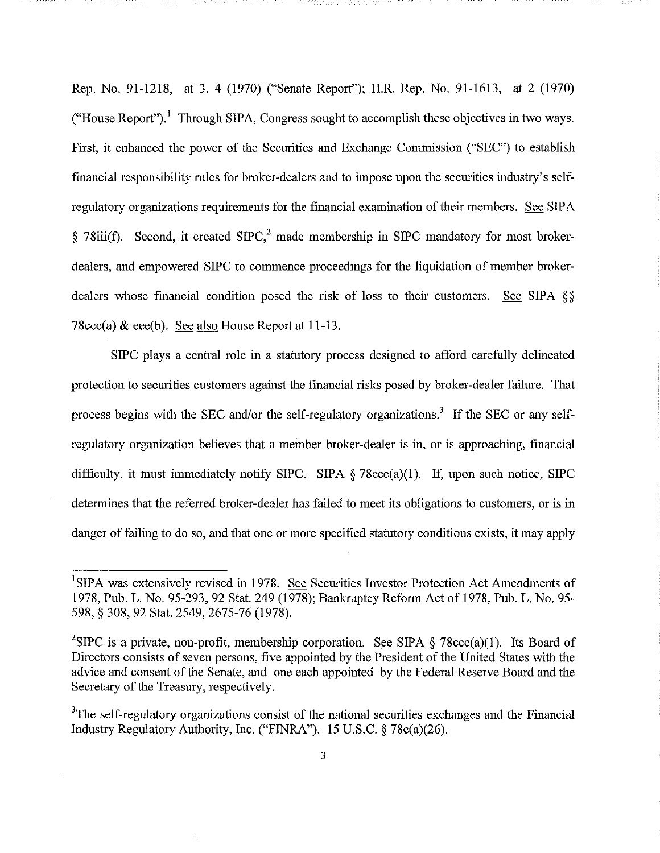Rep. No. 91-1218, at 3, 4 (1970) ("Senate Report"); H.R. Rep. No. 91-1613, at 2 (1970) ("House Report").<sup>1</sup> Through SIPA, Congress sought to accomplish these objectives in two ways. First, it enhanced the power of the Securities and Exchange Commission ("SEC") to establish financial responsibility rules for broker-dealers and to impose upon the securities industry's selfregulatory organizations requirements for the financial examination of their members. See SIPA § 78iii(f). Second, it created  $SIPC<sup>2</sup>$  made membership in SIPC mandatory for most brokerdealers, and empowered SIPC to commence proceedings for the liquidation of member brokerdealers whose financial condition posed the risk of loss to their customers. See SIPA §§ 78ccc(a)  $\&$  eee(b). See also House Report at 11-13.

SIPC plays a central role in a statutory process designed to afford carefully delineated protection to securities customers against the financial risks posed by broker-dealer failure. That process begins with the SEC and/or the self-regulatory organizations.<sup>3</sup> If the SEC or any selfregulatory organization believes that a member broker-dealer is in, or is approaching, financial difficulty, it must immediately notify SIPC. SIPA § 78eee(a)(1). If, upon such notice, SIPC determines that the referred broker-dealer has failed to meet its obligations to customers, or is in danger of failing to do so, and that one or more specified statutory conditions exists, it may apply

<sup>&</sup>lt;sup>1</sup>SIPA was extensively revised in 1978. See Securities Investor Protection Act Amendments of 1978, Pub. L. No. 95-293, 92 Stat. 249 (1978); Bankruptcy Reform Act of 1978, Pub. L. No. 95- 598, § 308, 92 Stat. 2549, 2675-76 (1978).

<sup>&</sup>lt;sup>2</sup>SIPC is a private, non-profit, membership corporation. <u>See</u> SIPA § 78ccc(a)(1). Its Board of Directors consists of seven persons, five appointed by the President of the United States with the advice and consent of the Senate, and one each appointed by the Federal Reserve Board and the Secretary of the Treasury, respectively.

<sup>&</sup>lt;sup>3</sup>The self-regulatory organizations consist of the national securities exchanges and the Financial Industry Regulatory Authority, Inc. ("FINRA"). 15 U.S.C. § 78c(a)(26).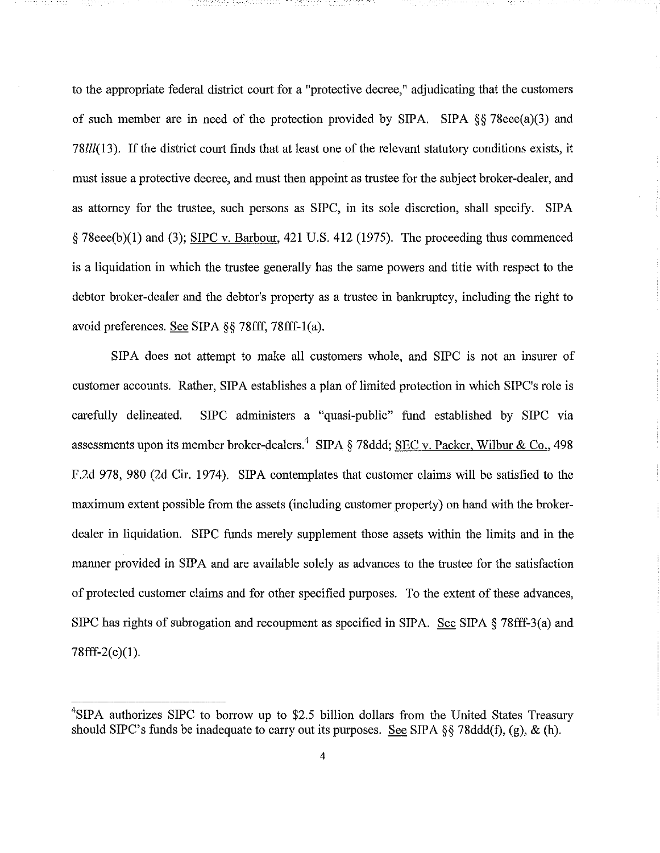to the appropriate federal district court for a "protective decree," adjudicating that the customers of such member are in need of the protection provided by SIPA. SIPA §§ 78eee(a)(3) and *78111*(13). If the district court finds that at least one of the relevant statutory conditions exists, it must issue a protective decree, and must then appoint as trustee for the subject broker-dealer, and as attorney for the trustee, such persons as SIPC, in its sole discretion, shall specify. SIPA § 78eee(b)(I) and (3); SIPC v. Barbour, 421 U.S. 412 (1975). The proceeding thus commenced is a liquidation in which the trustee generally has the same powers and title with respect to the debtor broker-dealer and the debtor's property as a trustee in bankruptcy, including the right to avoid preferences. See SIPA §§ 78fff, 78fff-l(a).

SIPA does not attempt to make all customers whole, and SIPC is not an insurer of customer accounts. Rather, SIPA establishes a plan of limited protection in which SIPC's role is carefully delineated. SIPC administers a "quasi-public" fund established by SIPC via assessments upon its member broker-dealers.<sup>4</sup> SIPA § 78ddd; SEC v. Packer, Wilbur & Co., 498 F.2d 978,980 (2d Cir. 1974). SIPA contemplates that customer claims will be satisfied to the maximum extent possible from the assets (including customer property) on hand with the brokerdealer in liquidation. SIPC funds merely supplement those assets within the limits and in the manner provided in SIPA and are available solely as advances to the trustee for the satisfaction of protected customer claims and for other specified purposes. To the extent of these advances, SIPC has rights of subrogation and recoupment as specified in SIPA. See SIPA  $\S$  78fff-3(a) and 78fff-2(c)(I).

<sup>&</sup>lt;sup>4</sup>SIPA authorizes SIPC to borrow up to \$2.5 billion dollars from the United States Treasury should SIPC's funds be inadequate to carry out its purposes. See SIPA §§ 78ddd(f), (g), & (h).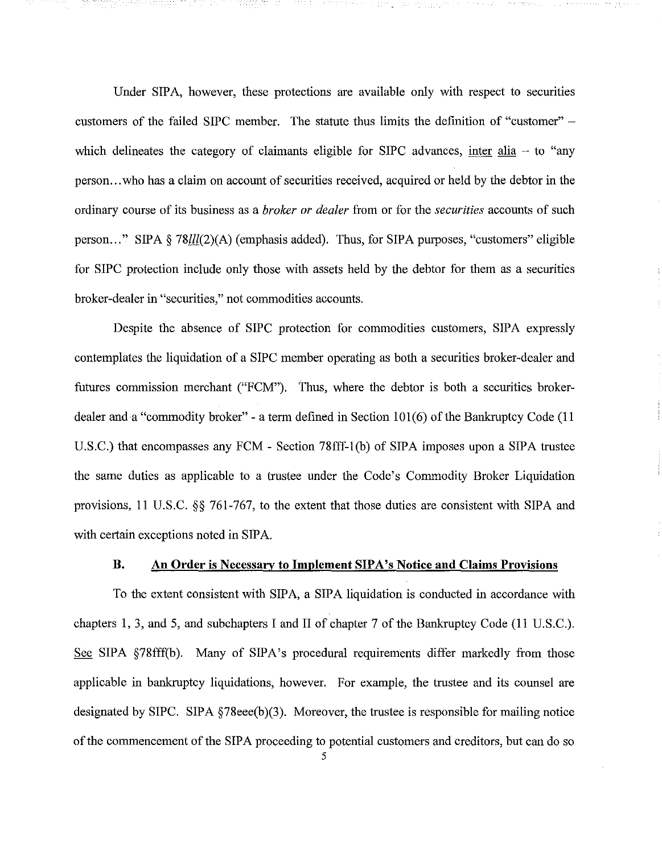Under SIPA, however, these protections are available only with respect to securities customers of the failed SIPC member. The statute thus limits the defmition of "customer" which delineates the category of claimants eligible for SIPC advances, inter alia  $-$  to "any person...who has a claim on account of securities received, acquired or held by the debtor in the ordinary course of its business as a *broker or dealer* from or for the *securities* accounts of such person... " SIPA § 78111(2)(A) (emphasis added). Thus, for SIPA purposes, "customers" eligible for SIPC protection include only those with assets held by the debtor for them as a securities broker-dealer in "securities," not commodities accounts.

Despite the absence of SIPC protection for commodities customers, SIPA expressly contemplates the liquidation of a SIPC member operating as both a securities broker-dealer and futures commission merchant ("FCM"). Thus, where the debtor is both a securities brokerdealer and a "commodity broker" - a term defined in Section  $101(6)$  of the Bankruptcy Code (11) U.S.C.) that encompasses any FCM - Section 78fff-l(b) of SIPA imposes upon a SIPA trustee the same duties as applicable to a trustee under the Code's Commodity Broker Liquidation provisions, 11 U.S.C. §§ 761-767, to the extent that those duties are consistent with SIPA and with certain exceptions noted in SIPA.

### B. An Order is Necessary to **Implement** SIPA's Notice **and** Claims Provisions

To the extent consistent with SIPA, a SIPA liquidation is conducted in accordance with chapters 1, 3, and 5, and subchapters I and II of chapter 7 of the Bankruptcy Code (11 U.S.C.). See SIPA §78fff(b). Many of SIPA's procedural requirements differ markedly from those applicable in bankruptcy liquidations, however. For example, the trustee and its counsel are designated by SIPC. SIPA §78eee(b)(3). Moreover, the trustee is responsible for mailing notice of the commencement of the SIPA proceeding to potential customers and creditors, but can do so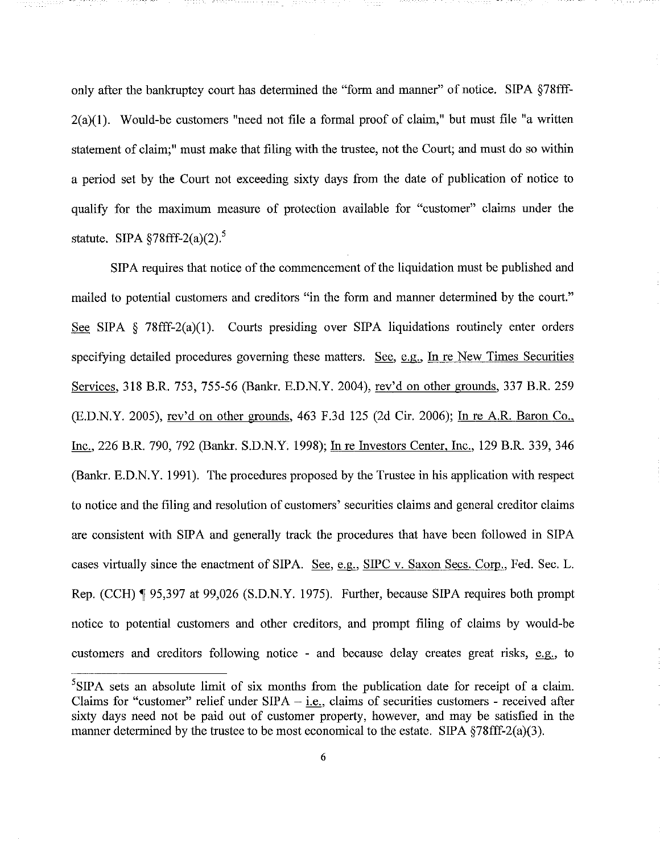only after the bankruptcy court has determined the "form and manner" of notice. SIPA §78fff- $2(a)(1)$ . Would-be customers "need not file a formal proof of claim," but must file "a written statement of claim;" must make that filing with the trustee, not the Court; and must do so within a period set by the Court not exceeding sixty days from the date of publication of notice to qualify for the maximum measure of protection available for "customer" claims under the statute. SIPA  $$78ff-2(a)(2)$ .<sup>5</sup>

SIPA requires that notice of the commencement of the liquidation must be published and mailed to potential customers and creditors "in the form and manner determined by the court." See SIPA § 78fff-2(a)(I). Courts presiding over SIPA liquidations routinely enter orders specifying detailed procedures governing these matters. See,  $e.g.,$  In re New Times Securities Services, 318 B.R. 753,755-56 (Bankr. E.D.N.Y. 2004), rev'd on other grounds, 337 B.R. 259 (E.D.N.Y. 2005), rev'd on other grounds, 463 F.3d 125 (2d Cir. 2006); In re AR. Baron Co., Inc., 226 B.R. 790, 792 (Bankr. S.D.N.Y. 1998); In re Investors Center, Inc., 129 B.R. 339, 346 (Bankr. E.D.N.Y. 1991). The procedures proposed by the Trustee in his application with respect to notice and the filing and resolution of customers' securities claims and general creditor claims are consistent with SIPA and generally track the procedures that have been followed in SIPA cases virtually since the enactment of SIPA. See, e.g., SIPC v. Saxon Secs. Corp., Fed. Sec. L. Rep. (CCH) 195,397 at 99,026 (S.D.N.Y. 1975). Further, because SIPA requires both prompt notice to potential customers and other creditors, and prompt filing of claims by would-be customers and creditors following notice - and because delay creates great risks, e.g., to

 ${}^{5}$ SIPA sets an absolute limit of six months from the publication date for receipt of a claim. Claims for "customer" relief under  $SIPA - i.e.,$  claims of securities customers - received after sixty days need not be paid out of customer property, however, and may be satisfied in the manner determined by the trustee to be most economical to the estate. SIPA §78fff-2(a)(3).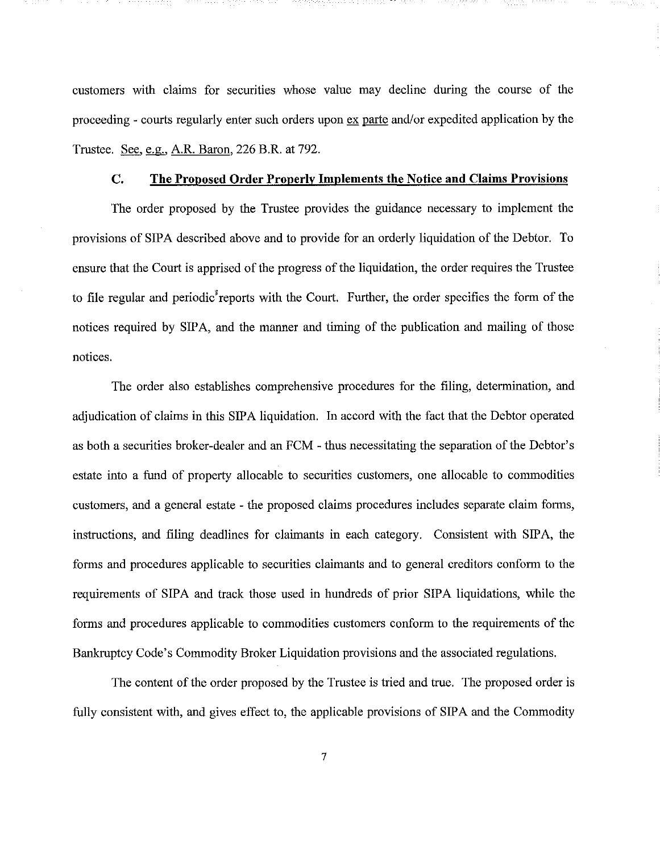customers with claims for securities whose value may decline during the course of the proceeding - courts regularly enter such orders upon ex parte and/or expedited application by the Trustee. See, e.g., A.R. Baron, 226 B.R. at 792.

## **C. The Proposed Order Properly Implements the Notice and Claims Provisions**

The order proposed by the Trustee provides the guidance necessary **to** implement the provisions of SIPA described above and to provide for an orderly liquidation of the Debtor. To ensure that the Court is apprised of the progress of the liquidation, the order requires the Trustee to file regular and periodic<sup>3</sup> reports with the Court. Further, the order specifies the form of the notices required by SIPA, and the manner and timing of the publication and mailing of those notices.

The order also establishes comprehensive procedures for the filing, determination, and adjudication of claims in this SIPA liquidation. **In** accord with the fact that the Debtor operated as both a securities broker-dealer and an FCM - thus necessitating the separation of the Debtor's estate into a fund of property allocable to securities customers, one allocable to commodities customers, and a general estate - the proposed claims procedures includes separate claim forms, instructions, and filing deadlines for claimants in each category. Consistent with SIPA, the forms and procedures applicable to securities claimants and to general creditors conform to the requirements of SIPA and track those used in hundreds of prior SIPA liquidations, while the forms and procedures applicable to commodities customers conform to the requirements of the Bankruptcy Code's Commodity Broker Liquidation provisions and the associated regulations.

The content of the order proposed by the Trustee is tried and true. The proposed order is fully consistent with, and gives effect to, the applicable provisions of SIPA and the Commodity